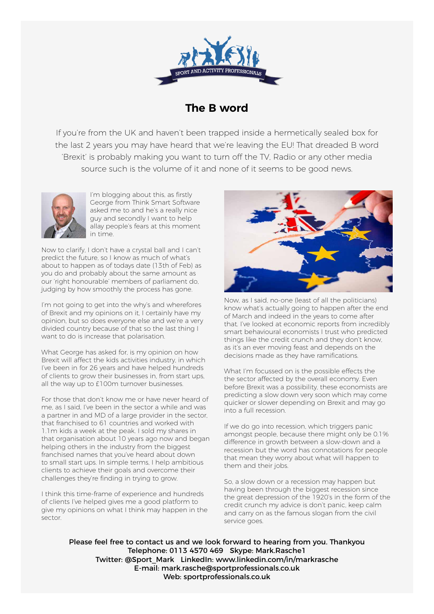

## **The B word**

If you're from the UK and haven't been trapped inside a hermetically sealed box for the last 2 years you may have heard that we're leaving the EU! That dreaded B word 'Brexit' is probably making you want to turn off the TV, Radio or any other media source such is the volume of it and none of it seems to be good news.



I'm blogging about this, as firstly George from Think Smart Software asked me to and he's a really nice guy and secondly I want to help allay people's fears at this moment in time.

Now to clarify, I don't have a crystal ball and I can't predict the future, so I know as much of what's about to happen as of todays date (13th of Feb) as you do and probably about the same amount as our 'right honourable' members of parliament do, judging by how smoothly the process has gone.

I'm not going to get into the why's and wherefores of Brexit and my opinions on it, I certainly have my opinion, but so does everyone else and we're a very divided country because of that so the last thing I want to do is increase that polarisation.

What George has asked for, is my opinion on how Brexit will affect the kids activities industry, in which I've been in for 26 years and have helped hundreds of clients to grow their businesses in, from start ups, all the way up to £100m turnover businesses.

For those that don't know me or have never heard of me, as I said, I've been in the sector a while and was a partner in and MD of a large provider in the sector, that franchised to 61 countries and worked with 1.1m kids a week at the peak. I sold my shares in that organisation about 10 years ago now and began helping others in the industry from the biggest franchised names that you've heard about down to small start ups. In simple terms, I help ambitious clients to achieve their goals and overcome their challenges they're finding in trying to grow.

I think this time-frame of experience and hundreds of clients I've helped gives me a good platform to give my opinions on what I think may happen in the sector.



Now, as I said, no-one (least of all the politicians) know what's actually going to happen after the end of March and indeed in the years to come after that. I've looked at economic reports from incredibly smart behavioural economists I trust who predicted things like the credit crunch and they don't know, as it's an ever moving feast and depends on the decisions made as they have ramifications.

What I'm focussed on is the possible effects the the sector affected by the overall economy. Even before Brexit was a possibility, these economists are predicting a slow down very soon which may come quicker or slower depending on Brexit and may go into a full recession.

If we do go into recession, which triggers panic amongst people, because there might only be 0.1% difference in growth between a slow-down and a recession but the word has connotations for people that mean they worry about what will happen to them and their jobs.

So, a slow down or a recession may happen but having been through the biggest recession since the great depression of the 1920's in the form of the credit crunch my advice is don't panic, keep calm and carry on as the famous slogan from the civil service goes.

Please feel free to contact us and we look forward to hearing from you. Thankyou Telephone: 0113 4570 469 Skype: Mark.Rasche1 Twitter: @Sport\_Mark LinkedIn: www.linkedin.com/in/markrasche E-mail: mark.rasche@sportprofessionals.co.uk Web: sportprofessionals.co.uk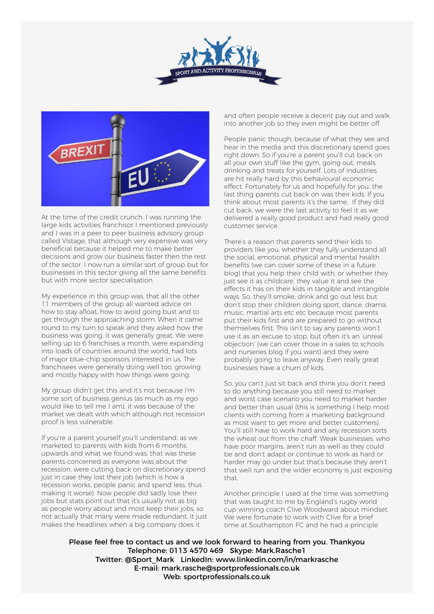



At the time of the credit crunch, I was running the large kids activities franchisor I mentioned previously and I was in a peer to peer business advisory group called Vistage, that although very expensive was very beneficial because it helped me to make better decisions and grow our business faster then the rest of the sector. I now run a similar sort of group but for businesses in this sector giving all the same benefits but with more sector specialisation.

My experience in this group was, that all the other 11 members of the group all wanted advice on how to stay afloat, how to avoid going bust and to get through the approaching storm. When it came round to my turn to speak and they asked how the business was going, it was generally great. We were selling up to 6 franchises a month, were expanding into loads of countries around the world, had lots of major blue-chip sponsors interested in us. The franchisees were generally doing well too, growing and mostly happy with how things were going.

My group didn't get this and it's not because I'm some sort of business genius (as much as my ego would like to tell me I am), it was because of the market we dealt with which although not recession proof is less vulnerable.

If you're a parent yourself you'll understand, as we marketed to parents with kids from 6 months upwards and what we found was, that was these parents concerned as everyone was about the recession, were cutting back on discretionary spend just in case they lost their job (which is how a recession works, people panic and spend less, thus making it worse). Now people did sadly lose their jobs but stats point out that it's usually not as big as people worry about and most keep their jobs, so not actually that many were made redundant, it just makes the headlines when a big company does it

and often people receive a decent pay out and walk into another job so they even might be better off.

People panic though, because of what they see and hear in the media and this discretionary spend goes right down. So if you're a parent you'll cut back on all your own stuff like the gym, going out, meals, drinking and treats for yourself. Lots of industries are hit really hard by this behavioural economic effect. Fortunately for us and hopefully for you, the last thing parents cut back on was their kids. If you think about most parents it's the same. If they did cut back, we were the last activity to feel it as we delivered a really good product and had really good customer service.

There's a reason that parents send their kids to providers like you, whether they fully understand all the social, emotional, physical and mental health benefits (we can cover some of these in a future blog) that you help their child with, or whether they just see it as childcare, they value it and see the effects it has on their kids in tangible and intangible ways. So, they'll smoke, drink and go out less but don't stop their children doing sport, dance, drama, music, martial arts etc etc because most parents put their kids first and are prepared to go without themselves first. This isn't to say any parents won't use it as an excuse to stop, but often it's an 'unreal objection' (we can cover those in a sales to schools and nurseries blog if you want) and they were probably going to leave anyway. Even really great businesses have a churn of kids.

So, you can't just sit back and think you don't need to do anything because you still need to market and worst case scenario you need to market harder and better than usual (this is something I help most clients with coming from a marketing background as most want to get more and better customers). You'll still have to work hard and any recession sorts the wheat out from the chaff. Weak businesses, who have poor margins, aren't run as well as they could be and don't adapt or continue to work as hard or harder may go under but that's because they aren't that well run and the wider economy is just exposing that.

Another principle I used at the time was something that was taught to me by England's rugby world cup winning coach Clive Woodward about mindset. We were fortunate to work with Clive for a brief time at Southampton FC and he had a principle

Please feel free to contact us and we look forward to hearing from you. Thankyou Telephone: 0113 4570 469 Skype: Mark.Rasche1 Twitter: @Sport\_Mark LinkedIn: www.linkedin.com/in/markrasche E-mail: mark.rasche@sportprofessionals.co.uk Web: sportprofessionals.co.uk